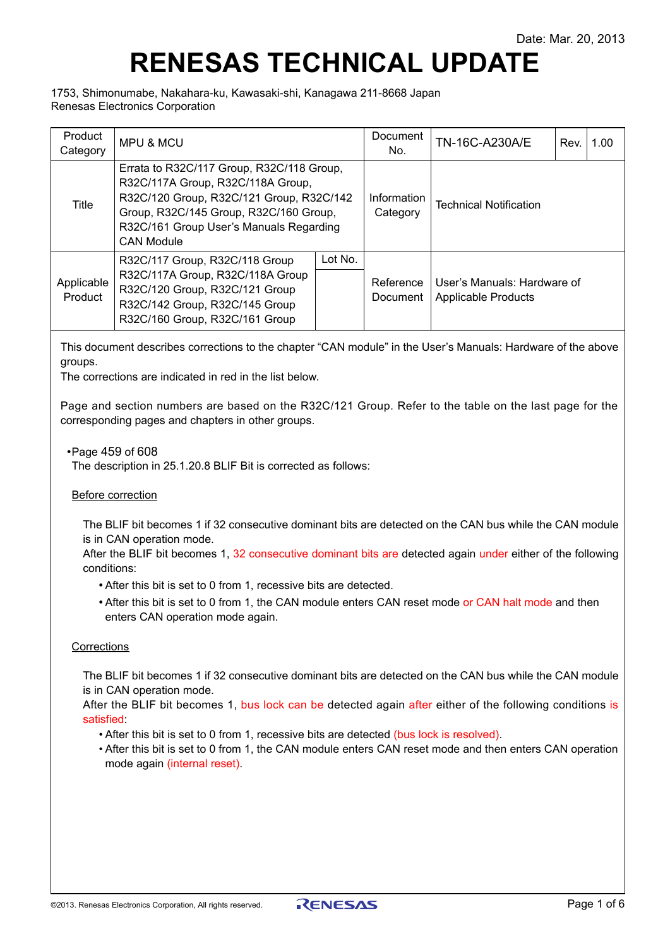# <span id="page-0-0"></span>**RENESAS TECHNICAL UPDATE**

1753, Shimonumabe, Nakahara-ku, Kawasaki-shi, Kanagawa 211-8668 Japan Renesas Electronics Corporation

| Product<br>Category   | <b>MPU &amp; MCU</b>                                                                                                                                                                                                                 |         | Document<br>No.         | TN-16C-A230A/E                                            | Rev. | 1.00 |
|-----------------------|--------------------------------------------------------------------------------------------------------------------------------------------------------------------------------------------------------------------------------------|---------|-------------------------|-----------------------------------------------------------|------|------|
| Title                 | Errata to R32C/117 Group, R32C/118 Group,<br>R32C/117A Group, R32C/118A Group,<br>R32C/120 Group, R32C/121 Group, R32C/142<br>Group, R32C/145 Group, R32C/160 Group,<br>R32C/161 Group User's Manuals Regarding<br><b>CAN Module</b> |         | Information<br>Category | <b>Technical Notification</b>                             |      |      |
| Applicable<br>Product | R32C/117 Group, R32C/118 Group<br>R32C/117A Group, R32C/118A Group<br>R32C/120 Group, R32C/121 Group<br>R32C/142 Group, R32C/145 Group                                                                                               | Lot No. | Reference<br>Document   | User's Manuals: Hardware of<br><b>Applicable Products</b> |      |      |
|                       | R32C/160 Group, R32C/161 Group                                                                                                                                                                                                       |         |                         |                                                           |      |      |

This document describes corrections to the chapter "CAN module" in the User's Manuals: Hardware of the above groups.

The corrections are indicated in red in the list below.

Page and section numbers are based on the R32C/121 Group. Refer to the table on the last page for the corresponding pages and chapters in other groups.

•Page 459 of 608

The description in 25.1.20.8 BLIF Bit is corrected as follows:

## Before correction

The BLIF bit becomes 1 if 32 consecutive dominant bits are detected on the CAN bus while the CAN module is in CAN operation mode.

After the BLIF bit becomes 1, 32 consecutive dominant bits are detected again under either of the following conditions:

- After this bit is set to 0 from 1, recessive bits are detected.
- After this bit is set to 0 from 1, the CAN module enters CAN reset mode or CAN halt mode and then enters CAN operation mode again.

## **Corrections**

The BLIF bit becomes 1 if 32 consecutive dominant bits are detected on the CAN bus while the CAN module is in CAN operation mode.

After the BLIF bit becomes 1, bus lock can be detected again after either of the following conditions is satisfied:

- After this bit is set to 0 from 1, recessive bits are detected (bus lock is resolved).
- After this bit is set to 0 from 1, the CAN module enters CAN reset mode and then enters CAN operation mode again (internal reset).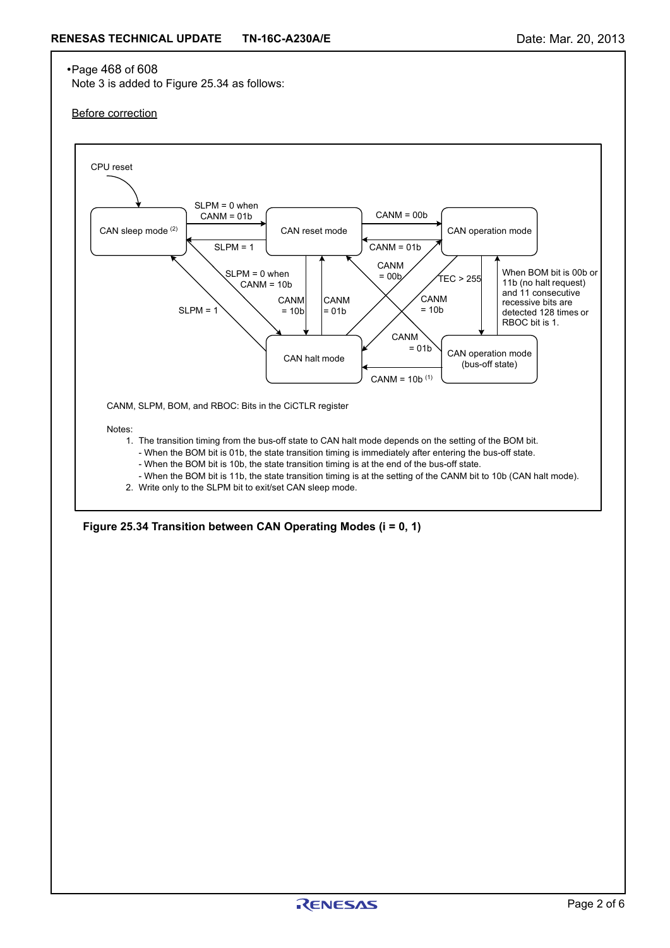#### •Page 468 of 608

Note 3 is added to Figure 25.34 as follows:

#### Before correction



**Figure 25.34 Transition between CAN Operating Modes (i = 0, 1)**

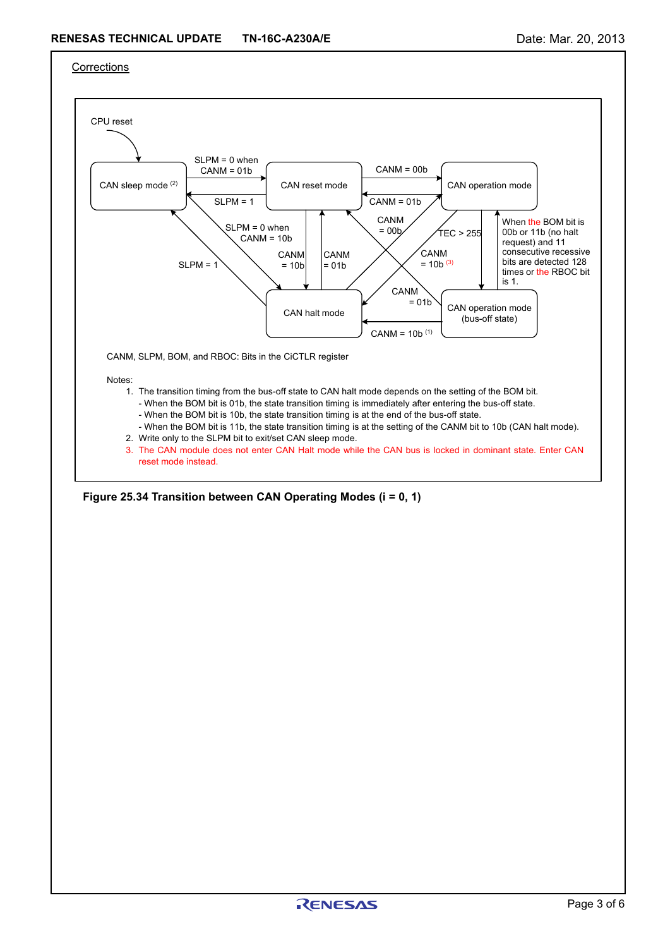



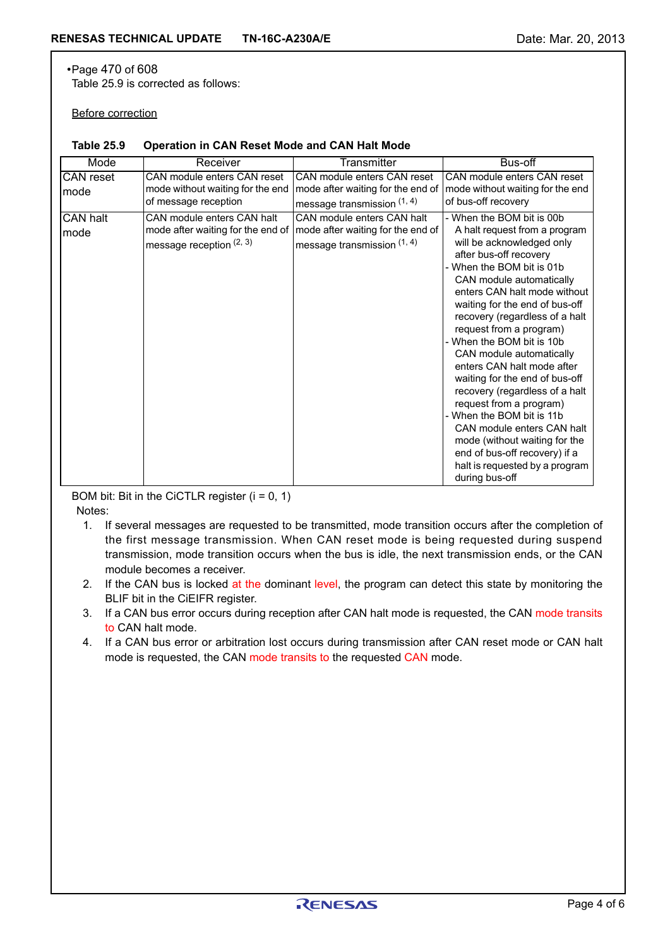•Page 470 of 608 Table 25.9 is corrected as follows:

Before correction

| Mode             | Receiver                          | Transmitter                       | Bus-off                          |
|------------------|-----------------------------------|-----------------------------------|----------------------------------|
| <b>CAN</b> reset | CAN module enters CAN reset       | CAN module enters CAN reset       | CAN module enters CAN reset      |
| mode             | mode without waiting for the end  | mode after waiting for the end of | mode without waiting for the end |
|                  | of message reception              | message transmission $(1, 4)$     | of bus-off recovery              |
| <b>CAN halt</b>  | CAN module enters CAN halt        | CAN module enters CAN halt        | When the BOM bit is 00b          |
| mode             | mode after waiting for the end of | mode after waiting for the end of | A halt request from a program    |
|                  | message reception $(2, 3)$        | message transmission $(1, 4)$     | will be acknowledged only        |
|                  |                                   |                                   | after bus-off recovery           |
|                  |                                   |                                   | When the BOM bit is 01b          |
|                  |                                   |                                   | CAN module automatically         |
|                  |                                   |                                   | enters CAN halt mode without     |
|                  |                                   |                                   | waiting for the end of bus-off   |
|                  |                                   |                                   | recovery (regardless of a halt   |
|                  |                                   |                                   | request from a program)          |
|                  |                                   |                                   | When the BOM bit is 10b          |
|                  |                                   |                                   | CAN module automatically         |
|                  |                                   |                                   | enters CAN halt mode after       |
|                  |                                   |                                   | waiting for the end of bus-off   |
|                  |                                   |                                   | recovery (regardless of a halt   |
|                  |                                   |                                   | request from a program)          |
|                  |                                   |                                   | When the BOM bit is 11b          |
|                  |                                   |                                   | CAN module enters CAN halt       |
|                  |                                   |                                   | mode (without waiting for the    |
|                  |                                   |                                   | end of bus-off recovery) if a    |
|                  |                                   |                                   | halt is requested by a program   |
|                  |                                   |                                   | during bus-off                   |

## **Table 25.9 Operation in CAN Reset Mode and CAN Halt Mode**

BOM bit: Bit in the CiCTLR register  $(i = 0, 1)$ Notes:

- 1. If several messages are requested to be transmitted, mode transition occurs after the completion of the first message transmission. When CAN reset mode is being requested during suspend transmission, mode transition occurs when the bus is idle, the next transmission ends, or the CAN module becomes a receiver.
- 2. If the CAN bus is locked at the dominant level, the program can detect this state by monitoring the BLIF bit in the CiEIFR register.
- 3. If a CAN bus error occurs during reception after CAN halt mode is requested, the CAN mode transits to CAN halt mode.
- 4. If a CAN bus error or arbitration lost occurs during transmission after CAN reset mode or CAN halt mode is requested, the CAN mode transits to the requested CAN mode.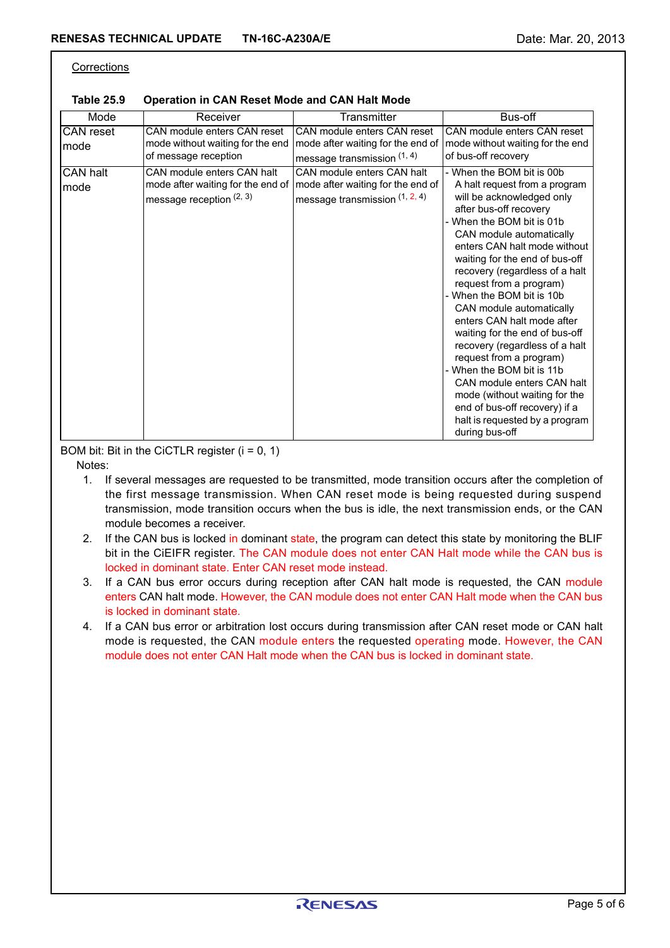### **Corrections**

| Mode             | Receiver                                                                                      | Transmitter                                                                                         | Bus-off                                                                                                                                                                                                                                                                                                                                                           |
|------------------|-----------------------------------------------------------------------------------------------|-----------------------------------------------------------------------------------------------------|-------------------------------------------------------------------------------------------------------------------------------------------------------------------------------------------------------------------------------------------------------------------------------------------------------------------------------------------------------------------|
| CAN reset        | CAN module enters CAN reset                                                                   | CAN module enters CAN reset                                                                         | CAN module enters CAN reset                                                                                                                                                                                                                                                                                                                                       |
| mode             | mode without waiting for the end                                                              | mode after waiting for the end of                                                                   | mode without waiting for the end                                                                                                                                                                                                                                                                                                                                  |
|                  | of message reception                                                                          | message transmission $(1, 4)$                                                                       | of bus-off recovery                                                                                                                                                                                                                                                                                                                                               |
| CAN halt<br>mode | CAN module enters CAN halt<br>mode after waiting for the end of<br>message reception $(2, 3)$ | CAN module enters CAN halt<br>mode after waiting for the end of<br>message transmission $(1, 2, 4)$ | - When the BOM bit is 00b<br>A halt request from a program<br>will be acknowledged only<br>after bus-off recovery<br>- When the BOM bit is 01b<br>CAN module automatically<br>enters CAN halt mode without<br>waiting for the end of bus-off<br>recovery (regardless of a halt<br>request from a program)                                                         |
|                  |                                                                                               |                                                                                                     | When the BOM bit is 10b<br>CAN module automatically<br>enters CAN halt mode after<br>waiting for the end of bus-off<br>recovery (regardless of a halt<br>request from a program)<br>- When the BOM bit is 11b<br>CAN module enters CAN halt<br>mode (without waiting for the<br>end of bus-off recovery) if a<br>halt is requested by a program<br>during bus-off |

**Table 25.9 Operation in CAN Reset Mode and CAN Halt Mode**

BOM bit: Bit in the CiCTLR register  $(i = 0, 1)$ 

Notes:

- 1. If several messages are requested to be transmitted, mode transition occurs after the completion of the first message transmission. When CAN reset mode is being requested during suspend transmission, mode transition occurs when the bus is idle, the next transmission ends, or the CAN module becomes a receiver.
- 2. If the CAN bus is locked in dominant state, the program can detect this state by monitoring the BLIF bit in the CiEIFR register. The CAN module does not enter CAN Halt mode while the CAN bus is locked in dominant state. Enter CAN reset mode instead.
- 3. If a CAN bus error occurs during reception after CAN halt mode is requested, the CAN module enters CAN halt mode. However, the CAN module does not enter CAN Halt mode when the CAN bus is locked in dominant state.
- 4. If a CAN bus error or arbitration lost occurs during transmission after CAN reset mode or CAN halt mode is requested, the CAN module enters the requested operating mode. However, the CAN module does not enter CAN Halt mode when the CAN bus is locked in dominant state.